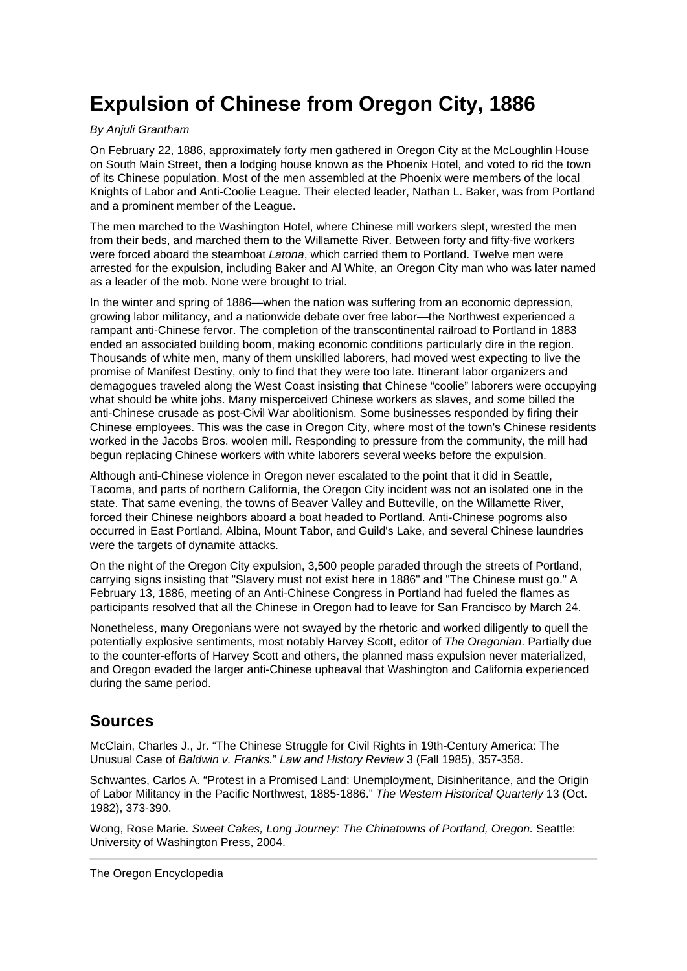## **Expulsion of Chinese from Oregon City, 1886**

## By Anjuli Grantham

On February 22, 1886, approximately forty men gathered in Oregon City at the McLoughlin House on South Main Street, then a lodging house known as the Phoenix Hotel, and voted to rid the town of its Chinese population. Most of the men assembled at the Phoenix were members of the local Knights of Labor and Anti-Coolie League. Their elected leader, Nathan L. Baker, was from Portland and a prominent member of the League.

The men marched to the Washington Hotel, where Chinese mill workers slept, wrested the men from their beds, and marched them to the Willamette River. Between forty and fifty-five workers were forced aboard the steamboat Latona, which carried them to Portland. Twelve men were arrested for the expulsion, including Baker and Al White, an Oregon City man who was later named as a leader of the mob. None were brought to trial.

In the winter and spring of 1886—when the nation was suffering from an economic depression, growing labor militancy, and a nationwide debate over free labor—the Northwest experienced a rampant anti-Chinese fervor. The completion of the transcontinental railroad to Portland in 1883 ended an associated building boom, making economic conditions particularly dire in the region. Thousands of white men, many of them unskilled laborers, had moved west expecting to live the promise of Manifest Destiny, only to find that they were too late. Itinerant labor organizers and demagogues traveled along the West Coast insisting that Chinese "coolie" laborers were occupying what should be white jobs. Many misperceived Chinese workers as slaves, and some billed the anti-Chinese crusade as post-Civil War abolitionism. Some businesses responded by firing their Chinese employees. This was the case in Oregon City, where most of the town's Chinese residents worked in the Jacobs Bros. woolen mill. Responding to pressure from the community, the mill had begun replacing Chinese workers with white laborers several weeks before the expulsion.

Although anti-Chinese violence in Oregon never escalated to the point that it did in Seattle, Tacoma, and parts of northern California, the Oregon City incident was not an isolated one in the state. That same evening, the towns of Beaver Valley and Butteville, on the Willamette River, forced their Chinese neighbors aboard a boat headed to Portland. Anti-Chinese pogroms also occurred in East Portland, Albina, Mount Tabor, and Guild's Lake, and several Chinese laundries were the targets of dynamite attacks.

On the night of the Oregon City expulsion, 3,500 people paraded through the streets of Portland, carrying signs insisting that "Slavery must not exist here in 1886" and "The Chinese must go." A February 13, 1886, meeting of an Anti-Chinese Congress in Portland had fueled the flames as participants resolved that all the Chinese in Oregon had to leave for San Francisco by March 24.

Nonetheless, many Oregonians were not swayed by the rhetoric and worked diligently to quell the potentially explosive sentiments, most notably Harvey Scott, editor of The Oregonian. Partially due to the counter-efforts of Harvey Scott and others, the planned mass expulsion never materialized, and Oregon evaded the larger anti-Chinese upheaval that Washington and California experienced during the same period.

## **Sources**

McClain, Charles J., Jr. "The Chinese Struggle for Civil Rights in 19th-Century America: The Unusual Case of Baldwin v. Franks." Law and History Review 3 (Fall 1985), 357-358.

Schwantes, Carlos A. "Protest in a Promised Land: Unemployment, Disinheritance, and the Origin of Labor Militancy in the Pacific Northwest, 1885-1886." The Western Historical Quarterly 13 (Oct. 1982), 373-390.

Wong, Rose Marie. Sweet Cakes, Long Journey: The Chinatowns of Portland, Oregon. Seattle: University of Washington Press, 2004.

[The Oregon Encyclopedia](https://www.oregonencyclopedia.org/articles/expulsion_of_chinese_from_oregon_city_1886/pdf/)